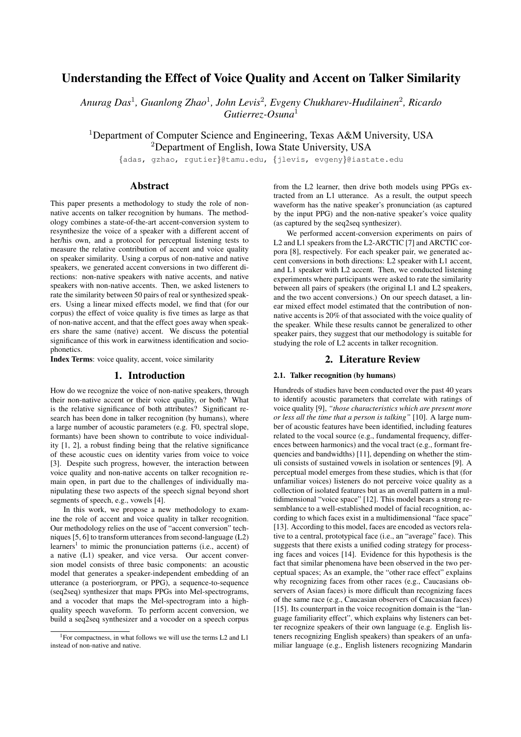# Understanding the Effect of Voice Quality and Accent on Talker Similarity

*Anurag Das*<sup>1</sup> *, Guanlong Zhao*<sup>1</sup> *, John Levis*<sup>2</sup> *, Evgeny Chukharev-Hudilainen*<sup>2</sup> *, Ricardo Gutierrez-Osuna*<sup>1</sup>

<sup>1</sup>Department of Computer Science and Engineering, Texas A&M University, USA <sup>2</sup>Department of English, Iowa State University, USA

{adas, gzhao, rgutier}@tamu.edu, {jlevis, evgeny}@iastate.edu

## Abstract

This paper presents a methodology to study the role of nonnative accents on talker recognition by humans. The methodology combines a state-of-the-art accent-conversion system to resynthesize the voice of a speaker with a different accent of her/his own, and a protocol for perceptual listening tests to measure the relative contribution of accent and voice quality on speaker similarity. Using a corpus of non-native and native speakers, we generated accent conversions in two different directions: non-native speakers with native accents, and native speakers with non-native accents. Then, we asked listeners to rate the similarity between 50 pairs of real or synthesized speakers. Using a linear mixed effects model, we find that (for our corpus) the effect of voice quality is five times as large as that of non-native accent, and that the effect goes away when speakers share the same (native) accent. We discuss the potential significance of this work in earwitness identification and sociophonetics.

Index Terms: voice quality, accent, voice similarity

### 1. Introduction

How do we recognize the voice of non-native speakers, through their non-native accent or their voice quality, or both? What is the relative significance of both attributes? Significant research has been done in talker recognition (by humans), where a large number of acoustic parameters (e.g. F0, spectral slope, formants) have been shown to contribute to voice individuality [1, 2], a robust finding being that the relative significance of these acoustic cues on identity varies from voice to voice [3]. Despite such progress, however, the interaction between voice quality and non-native accents on talker recognition remain open, in part due to the challenges of individually manipulating these two aspects of the speech signal beyond short segments of speech, e.g., vowels [4].

In this work, we propose a new methodology to examine the role of accent and voice quality in talker recognition. Our methodology relies on the use of "accent conversion" techniques [5, 6] to transform utterances from second-language (L2) learners<sup>1</sup> to mimic the pronunciation patterns (i.e., accent) of a native (L1) speaker, and vice versa. Our accent conversion model consists of three basic components: an acoustic model that generates a speaker-independent embedding of an utterance (a posteriorgram, or PPG), a sequence-to-sequence (seq2seq) synthesizer that maps PPGs into Mel-spectrograms, and a vocoder that maps the Mel-spectrogram into a highquality speech waveform. To perform accent conversion, we build a seq2seq synthesizer and a vocoder on a speech corpus

from the L2 learner, then drive both models using PPGs extracted from an L1 utterance. As a result, the output speech waveform has the native speaker's pronunciation (as captured by the input PPG) and the non-native speaker's voice quality (as captured by the seq2seq synthesizer).

We performed accent-conversion experiments on pairs of L2 and L1 speakers from the L2-ARCTIC [7] and ARCTIC corpora [8], respectively. For each speaker pair, we generated accent conversions in both directions: L2 speaker with L1 accent, and L1 speaker with L2 accent. Then, we conducted listening experiments where participants were asked to rate the similarity between all pairs of speakers (the original L1 and L2 speakers, and the two accent conversions.) On our speech dataset, a linear mixed effect model estimated that the contribution of nonnative accents is 20% of that associated with the voice quality of the speaker. While these results cannot be generalized to other speaker pairs, they suggest that our methodology is suitable for studying the role of L2 accents in talker recognition.

## 2. Literature Review

#### 2.1. Talker recognition (by humans)

Hundreds of studies have been conducted over the past 40 years to identify acoustic parameters that correlate with ratings of voice quality [9], *"those characteristics which are present more or less all the time that a person is talking"* [10]. A large number of acoustic features have been identified, including features related to the vocal source (e.g., fundamental frequency, differences between harmonics) and the vocal tract (e.g., formant frequencies and bandwidths) [11], depending on whether the stimuli consists of sustained vowels in isolation or sentences [9]. A perceptual model emerges from these studies, which is that (for unfamiliar voices) listeners do not perceive voice quality as a collection of isolated features but as an overall pattern in a multidimensional "voice space" [12]. This model bears a strong resemblance to a well-established model of facial recognition, according to which faces exist in a multidimensional "face space" [13]. According to this model, faces are encoded as vectors relative to a central, prototypical face (i.e., an "average" face). This suggests that there exists a unified coding strategy for processing faces and voices [14]. Evidence for this hypothesis is the fact that similar phenomena have been observed in the two perceptual spaces; As an example, the "other race effect" explains why recognizing faces from other races (e.g., Caucasians observers of Asian faces) is more difficult than recognizing faces of the same race (e.g., Caucasian observers of Caucasian faces) [15]. Its counterpart in the voice recognition domain is the "language familiarity effect", which explains why listeners can better recognize speakers of their own language (e.g. English listeners recognizing English speakers) than speakers of an unfamiliar language (e.g., English listeners recognizing Mandarin

<sup>&</sup>lt;sup>1</sup>For compactness, in what follows we will use the terms L2 and L1 instead of non-native and native.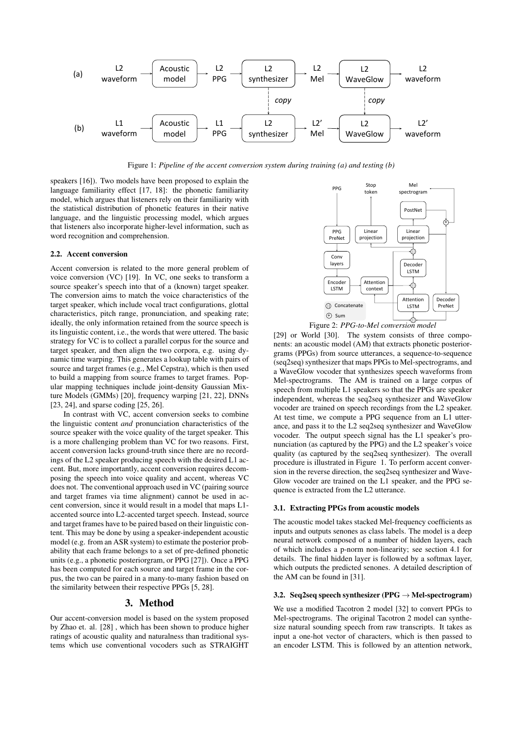

Figure 1: *Pipeline of the accent conversion system during training (a) and testing (b)*

speakers [16]). Two models have been proposed to explain the language familiarity effect [17, 18]: the phonetic familiarity model, which argues that listeners rely on their familiarity with the statistical distribution of phonetic features in their native language, and the linguistic processing model, which argues that listeners also incorporate higher-level information, such as word recognition and comprehension.

### 2.2. Accent conversion

Accent conversion is related to the more general problem of voice conversion (VC) [19]. In VC, one seeks to transform a source speaker's speech into that of a (known) target speaker. The conversion aims to match the voice characteristics of the target speaker, which include vocal tract configurations, glottal characteristics, pitch range, pronunciation, and speaking rate; ideally, the only information retained from the source speech is its linguistic content, i.e., the words that were uttered. The basic strategy for VC is to collect a parallel corpus for the source and target speaker, and then align the two corpora, e.g. using dynamic time warping. This generates a lookup table with pairs of source and target frames (e.g., Mel Cepstra), which is then used to build a mapping from source frames to target frames. Popular mapping techniques include joint-density Gaussian Mixture Models (GMMs) [20], frequency warping [21, 22], DNNs [23, 24], and sparse coding [25, 26].

In contrast with VC, accent conversion seeks to combine the linguistic content *and* pronunciation characteristics of the source speaker with the voice quality of the target speaker. This is a more challenging problem than VC for two reasons. First, accent conversion lacks ground-truth since there are no recordings of the L2 speaker producing speech with the desired L1 accent. But, more importantly, accent conversion requires decomposing the speech into voice quality and accent, whereas VC does not. The conventional approach used in VC (pairing source and target frames via time alignment) cannot be used in accent conversion, since it would result in a model that maps L1 accented source into L2-accented target speech. Instead, source and target frames have to be paired based on their linguistic content. This may be done by using a speaker-independent acoustic model (e.g. from an ASR system) to estimate the posterior probability that each frame belongs to a set of pre-defined phonetic units (e.g., a phonetic posteriorgram, or PPG [27]). Once a PPG has been computed for each source and target frame in the corpus, the two can be paired in a many-to-many fashion based on the similarity between their respective PPGs [5, 28].

## 3. Method

Our accent-conversion model is based on the system proposed by Zhao et. al. [28] , which has been shown to produce higher ratings of acoustic quality and naturalness than traditional systems which use conventional vocoders such as STRAIGHT



[29] or World [30]. The system consists of three components: an acoustic model (AM) that extracts phonetic posteriorgrams (PPGs) from source utterances, a sequence-to-sequence (seq2seq) synthesizer that maps PPGs to Mel-spectrograms, and a WaveGlow vocoder that synthesizes speech waveforms from Mel-spectrograms. The AM is trained on a large corpus of speech from multiple L1 speakers so that the PPGs are speaker independent, whereas the seq2seq synthesizer and WaveGlow vocoder are trained on speech recordings from the L2 speaker. At test time, we compute a PPG sequence from an L1 utterance, and pass it to the L2 seq2seq synthesizer and WaveGlow vocoder. The output speech signal has the L1 speaker's pronunciation (as captured by the PPG) and the L2 speaker's voice quality (as captured by the seq2seq synthesizer). The overall procedure is illustrated in Figure 1. To perform accent conversion in the reverse direction, the seq2seq synthesizer and Wave-Glow vocoder are trained on the L1 speaker, and the PPG sequence is extracted from the L2 utterance.

#### 3.1. Extracting PPGs from acoustic models

The acoustic model takes stacked Mel-frequency coefficients as inputs and outputs senones as class labels. The model is a deep neural network composed of a number of hidden layers, each of which includes a p-norm non-linearity; see section 4.1 for details. The final hidden layer is followed by a softmax layer, which outputs the predicted senones. A detailed description of the AM can be found in [31].

#### 3.2. Seq2seq speech synthesizer (PPG  $\rightarrow$  Mel-spectrogram)

We use a modified Tacotron 2 model [32] to convert PPGs to Mel-spectrograms. The original Tacotron 2 model can synthesize natural sounding speech from raw transcripts. It takes as input a one-hot vector of characters, which is then passed to an encoder LSTM. This is followed by an attention network,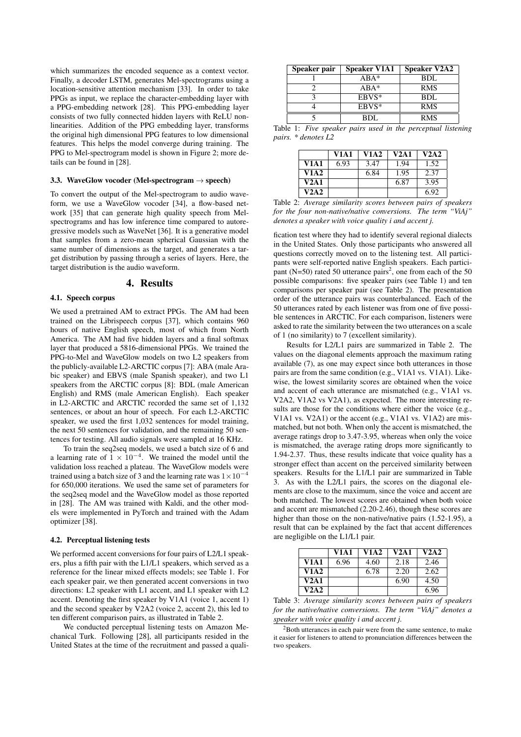which summarizes the encoded sequence as a context vector. Finally, a decoder LSTM, generates Mel-spectrograms using a location-sensitive attention mechanism [33]. In order to take PPGs as input, we replace the character-embedding layer with a PPG-embedding network [28]. This PPG-embedding layer consists of two fully connected hidden layers with ReLU nonlinearities. Addition of the PPG embedding layer, transforms the original high dimensional PPG features to low dimensional features. This helps the model converge during training. The PPG to Mel-spectrogram model is shown in Figure 2; more details can be found in [28].

#### 3.3. WaveGlow vocoder (Mel-spectrogram  $\rightarrow$  speech)

To convert the output of the Mel-spectrogram to audio waveform, we use a WaveGlow vocoder [34], a flow-based network [35] that can generate high quality speech from Melspectrograms and has low inference time compared to autoregressive models such as WaveNet [36]. It is a generative model that samples from a zero-mean spherical Gaussian with the same number of dimensions as the target, and generates a target distribution by passing through a series of layers. Here, the target distribution is the audio waveform.

## 4. Results

#### 4.1. Speech corpus

We used a pretrained AM to extract PPGs. The AM had been trained on the Librispeech corpus [37], which contains 960 hours of native English speech, most of which from North America. The AM had five hidden layers and a final softmax layer that produced a 5816-dimensional PPGs. We trained the PPG-to-Mel and WaveGlow models on two L2 speakers from the publicly-available L2-ARCTIC corpus [7]: ABA (male Arabic speaker) and EBVS (male Spanish speaker), and two L1 speakers from the ARCTIC corpus [8]: BDL (male American English) and RMS (male American English). Each speaker in L2-ARCTIC and ARCTIC recorded the same set of 1,132 sentences, or about an hour of speech. For each L2-ARCTIC speaker, we used the first 1,032 sentences for model training, the next 50 sentences for validation, and the remaining 50 sentences for testing. All audio signals were sampled at 16 KHz.

To train the seq2seq models, we used a batch size of 6 and a learning rate of  $1 \times 10^{-4}$ . We trained the model until the validation loss reached a plateau. The WaveGlow models were trained using a batch size of 3 and the learning rate was  $1 \times 10^{-4}$ for 650,000 iterations. We used the same set of parameters for the seq2seq model and the WaveGlow model as those reported in [28]. The AM was trained with Kaldi, and the other models were implemented in PyTorch and trained with the Adam optimizer [38].

#### 4.2. Perceptual listening tests

We performed accent conversions for four pairs of L2/L1 speakers, plus a fifth pair with the L1/L1 speakers, which served as a reference for the linear mixed effects models; see Table 1. For each speaker pair, we then generated accent conversions in two directions: L2 speaker with L1 accent, and L1 speaker with L2 accent. Denoting the first speaker by V1A1 (voice 1, accent 1) and the second speaker by V2A2 (voice 2, accent 2), this led to ten different comparison pairs, as illustrated in Table 2.

We conducted perceptual listening tests on Amazon Mechanical Turk. Following [28], all participants resided in the United States at the time of the recruitment and passed a quali-

| Speaker pair | <b>Speaker V1A1</b> | <b>Speaker V2A2</b> |
|--------------|---------------------|---------------------|
|              | $ABA*$              | BDL                 |
|              | $ABA^*$             | <b>RMS</b>          |
|              | EBVS*               | BDL                 |
|              | EBVS*               | <b>RMS</b>          |
|              | RDI.                | <b>RMS</b>          |

Table 1: *Five speaker pairs used in the perceptual listening pairs. \* denotes L2*

|             | <b>V1A1</b> | <b>V1A2</b> | V2A1 | V2A2 |
|-------------|-------------|-------------|------|------|
| V1A1        | 6.93        | 3.47        | 1.94 | 1.52 |
| <b>V1A2</b> |             | 6.84        | 1.95 | 2.37 |
| V2A1        |             |             | 6.87 | 3.95 |
| V2A2        |             |             |      | 6.92 |

Table 2: *Average similarity scores between pairs of speakers for the four non-native/native conversions. The term "ViAj" denotes a speaker with voice quality i and accent j.*

fication test where they had to identify several regional dialects in the United States. Only those participants who answered all questions correctly moved on to the listening test. All participants were self-reported native English speakers. Each participant (N=50) rated 50 utterance pairs<sup>2</sup>, one from each of the 50 possible comparisons: five speaker pairs (see Table 1) and ten comparisons per speaker pair (see Table 2). The presentation order of the utterance pairs was counterbalanced. Each of the 50 utterances rated by each listener was from one of five possible sentences in ARCTIC. For each comparison, listeners were asked to rate the similarity between the two utterances on a scale of 1 (no similarity) to 7 (excellent similarity).

Results for L2/L1 pairs are summarized in Table 2. The values on the diagonal elements approach the maximum rating available (7), as one may expect since both utterances in those pairs are from the same condition (e.g., V1A1 vs. V1A1). Likewise, the lowest similarity scores are obtained when the voice and accent of each utterance are mismatched (e.g., V1A1 vs. V2A2, V1A2 vs V2A1), as expected. The more interesting results are those for the conditions where either the voice (e.g., V1A1 vs. V2A1) or the accent (e.g., V1A1 vs. V1A2) are mismatched, but not both. When only the accent is mismatched, the average ratings drop to 3.47-3.95, whereas when only the voice is mismatched, the average rating drops more significantly to 1.94-2.37. Thus, these results indicate that voice quality has a stronger effect than accent on the perceived similarity between speakers. Results for the L1/L1 pair are summarized in Table 3. As with the L2/L1 pairs, the scores on the diagonal elements are close to the maximum, since the voice and accent are both matched. The lowest scores are obtained when both voice and accent are mismatched (2.20-2.46), though these scores are higher than those on the non-native/native pairs (1.52-1.95), a result that can be explained by the fact that accent differences are negligible on the L1/L1 pair.

|             | <b>V1A1</b> | <b>V1A2</b> | V2A1 | V2A2 |
|-------------|-------------|-------------|------|------|
| <b>V1A1</b> | 6.96        | 4.60        | 2.18 | 2.46 |
| V1A2        |             | 6.78        | 2.20 | 2.62 |
| V2A1        |             |             | 6.90 | 4.50 |
| V2A2        |             |             |      | 6.96 |

Table 3: *Average similarity scores between pairs of speakers for the native/native conversions. The term "ViAj" denotes a speaker with voice quality i and accent j.*

<sup>2</sup>Both utterances in each pair were from the same sentence, to make it easier for listeners to attend to pronunciation differences between the two speakers.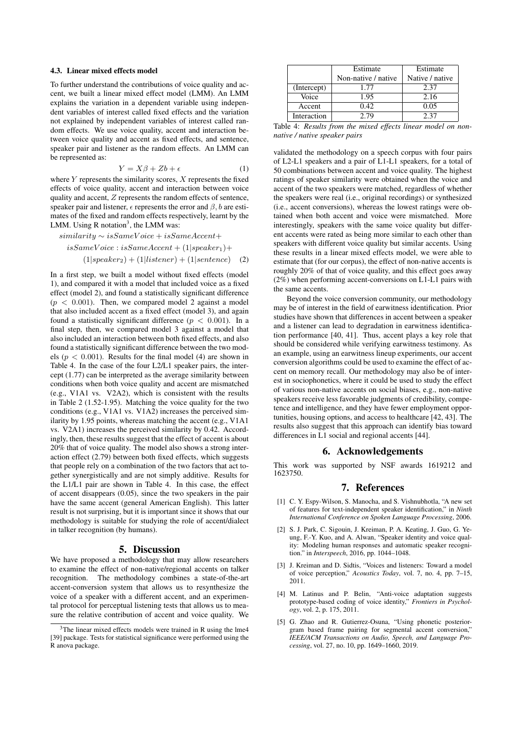#### 4.3. Linear mixed effects model

To further understand the contributions of voice quality and accent, we built a linear mixed effect model (LMM). An LMM explains the variation in a dependent variable using independent variables of interest called fixed effects and the variation not explained by independent variables of interest called random effects. We use voice quality, accent and interaction between voice quality and accent as fixed effects, and sentence, speaker pair and listener as the random effects. An LMM can be represented as:

$$
Y = X\beta + Zb + \epsilon \tag{1}
$$

where  $Y$  represents the similarity scores,  $X$  represents the fixed effects of voice quality, accent and interaction between voice quality and accent, Z represents the random effects of sentence, speaker pair and listener,  $\epsilon$  represents the error and  $\beta$ , b are estimates of the fixed and random effects respectively, learnt by the LMM. Using R notation<sup>3</sup>, the LMM was:

$$
similarity \sim isSameVoice + isSameAccent +isSameVoice : isSameAccent + (1|speaker1) +(1|speaker2) + (1| listener) + (1|sentence) (2)
$$

In a first step, we built a model without fixed effects (model 1), and compared it with a model that included voice as a fixed effect (model 2), and found a statistically significant difference  $(p < 0.001)$ . Then, we compared model 2 against a model that also included accent as a fixed effect (model 3), and again found a statistically significant difference ( $p < 0.001$ ). In a final step, then, we compared model 3 against a model that also included an interaction between both fixed effects, and also found a statistically significant difference between the two models ( $p < 0.001$ ). Results for the final model (4) are shown in Table 4. In the case of the four L2/L1 speaker pairs, the intercept (1.77) can be interpreted as the average similarity between conditions when both voice quality and accent are mismatched (e.g., V1A1 vs. V2A2), which is consistent with the results in Table 2 (1.52-1.95). Matching the voice quality for the two conditions (e.g., V1A1 vs. V1A2) increases the perceived similarity by 1.95 points, whereas matching the accent (e.g., V1A1 vs. V2A1) increases the perceived similarity by 0.42. Accordingly, then, these results suggest that the effect of accent is about 20% that of voice quality. The model also shows a strong interaction effect (2.79) between both fixed effects, which suggests that people rely on a combination of the two factors that act together synergistically and are not simply additive. Results for the L1/L1 pair are shown in Table 4. In this case, the effect of accent disappears (0.05), since the two speakers in the pair have the same accent (general American English). This latter result is not surprising, but it is important since it shows that our methodology is suitable for studying the role of accent/dialect in talker recognition (by humans).

### 5. Discussion

We have proposed a methodology that may allow researchers to examine the effect of non-native/regional accents on talker recognition. The methodology combines a state-of-the-art accent-conversion system that allows us to resynthesize the voice of a speaker with a different accent, and an experimental protocol for perceptual listening tests that allows us to measure the relative contribution of accent and voice quality. We

|             | Estimate            | Estimate        |  |
|-------------|---------------------|-----------------|--|
|             | Non-native / native | Native / native |  |
| (Intercept) | 1.77                | 2.37            |  |
| Voice       | 1.95                | 2.16            |  |
| Accent      | 0.42.               | 0.05            |  |
| Interaction | 2.79                | 2.37            |  |

Table 4: *Results from the mixed effects linear model on nonnative / native speaker pairs*

validated the methodology on a speech corpus with four pairs of L2-L1 speakers and a pair of L1-L1 speakers, for a total of 50 combinations between accent and voice quality. The highest ratings of speaker similarity were obtained when the voice and accent of the two speakers were matched, regardless of whether the speakers were real (i.e., original recordings) or synthesized (i.e., accent conversions), whereas the lowest ratings were obtained when both accent and voice were mismatched. More interestingly, speakers with the same voice quality but different accents were rated as being more similar to each other than speakers with different voice quality but similar accents. Using these results in a linear mixed effects model, we were able to estimate that (for our corpus), the effect of non-native accents is roughly 20% of that of voice quality, and this effect goes away (2%) when performing accent-conversions on L1-L1 pairs with the same accents.

Beyond the voice conversion community, our methodology may be of interest in the field of earwitness identification. Prior studies have shown that differences in accent between a speaker and a listener can lead to degradation in earwitness identification performance [40, 41]. Thus, accent plays a key role that should be considered while verifying earwitness testimony. As an example, using an earwitness lineup experiments, our accent conversion algorithms could be used to examine the effect of accent on memory recall. Our methodology may also be of interest in sociophonetics, where it could be used to study the effect of various non-native accents on social biases, e.g., non-native speakers receive less favorable judgments of credibility, competence and intelligence, and they have fewer employment opportunities, housing options, and access to healthcare [42, 43]. The results also suggest that this approach can identify bias toward differences in L1 social and regional accents [44].

## 6. Acknowledgements

This work was supported by NSF awards 1619212 and 1623750.

#### 7. References

- [1] C. Y. Espy-Wilson, S. Manocha, and S. Vishnubhotla, "A new set of features for text-independent speaker identification," in *Ninth International Conference on Spoken Language Processing*, 2006.
- [2] S. J. Park, C. Sigouin, J. Kreiman, P. A. Keating, J. Guo, G. Yeung, F.-Y. Kuo, and A. Alwan, "Speaker identity and voice quality: Modeling human responses and automatic speaker recognition." in *Interspeech*, 2016, pp. 1044–1048.
- [3] J. Kreiman and D. Sidtis, "Voices and listeners: Toward a model of voice perception," *Acoustics Today*, vol. 7, no. 4, pp. 7–15, 2011.
- [4] M. Latinus and P. Belin, "Anti-voice adaptation suggests prototype-based coding of voice identity," *Frontiers in Psychology*, vol. 2, p. 175, 2011.
- [5] G. Zhao and R. Gutierrez-Osuna, "Using phonetic posteriorgram based frame pairing for segmental accent conversion," *IEEE/ACM Transactions on Audio, Speech, and Language Processing*, vol. 27, no. 10, pp. 1649–1660, 2019.

 $3$ The linear mixed effects models were trained in R using the lme4 [39] package. Tests for statistical significance were performed using the R anova package.